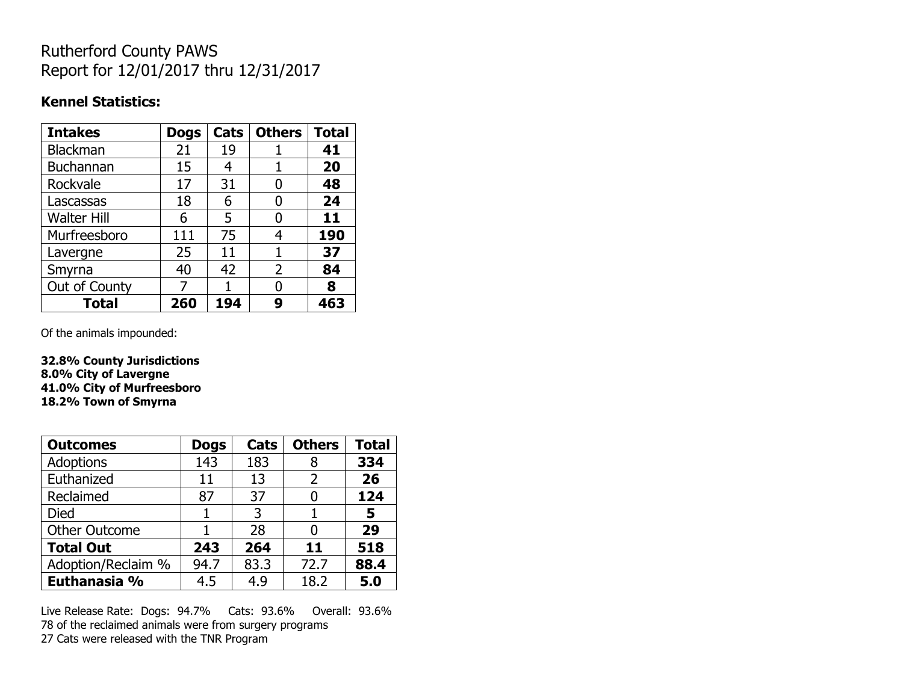## Rutherford County PAWS Report for 12/01/2017 thru 12/31/2017

#### **Kennel Statistics:**

| <b>Intakes</b>     | <b>Dogs</b> | Cats | <b>Others</b> | <b>Total</b> |
|--------------------|-------------|------|---------------|--------------|
| Blackman           | 21          | 19   |               | 41           |
| Buchannan          | 15          | 4    |               | 20           |
| Rockvale           | 17          | 31   | 0             | 48           |
| Lascassas          | 18          | 6    | 0             | 24           |
| <b>Walter Hill</b> | 6           | 5    | O             | 11           |
| Murfreesboro       | 111         | 75   | 4             | 190          |
| Lavergne           | 25          | 11   | 1             | 37           |
| Smyrna             | 40          | 42   | 2             | 84           |
| Out of County      | 7           |      | N             | 8            |
| <b>Total</b>       | 260         | 194  | 9             | 463          |

Of the animals impounded:

**32.8% County Jurisdictions 8.0% City of Lavergne 41.0% City of Murfreesboro 18.2% Town of Smyrna**

| <b>Outcomes</b>      | <b>Dogs</b> | Cats | <b>Others</b> | <b>Total</b> |
|----------------------|-------------|------|---------------|--------------|
| Adoptions            | 143         | 183  | 8             | 334          |
| Euthanized           | 11          | 13   | 2             | 26           |
| Reclaimed            | 87          | 37   |               | 124          |
| <b>Died</b>          |             | 3    |               | 5            |
| <b>Other Outcome</b> |             | 28   |               | 29           |
| <b>Total Out</b>     | 243         | 264  | 11            | 518          |
| Adoption/Reclaim %   | 94.7        | 83.3 | 72.7          | 88.4         |
| Euthanasia %         | 4.5         | 4.9  | 18.2          | 5.0          |

Live Release Rate: Dogs: 94.7% Cats: 93.6% Overall: 93.6% 78 of the reclaimed animals were from surgery programs 27 Cats were released with the TNR Program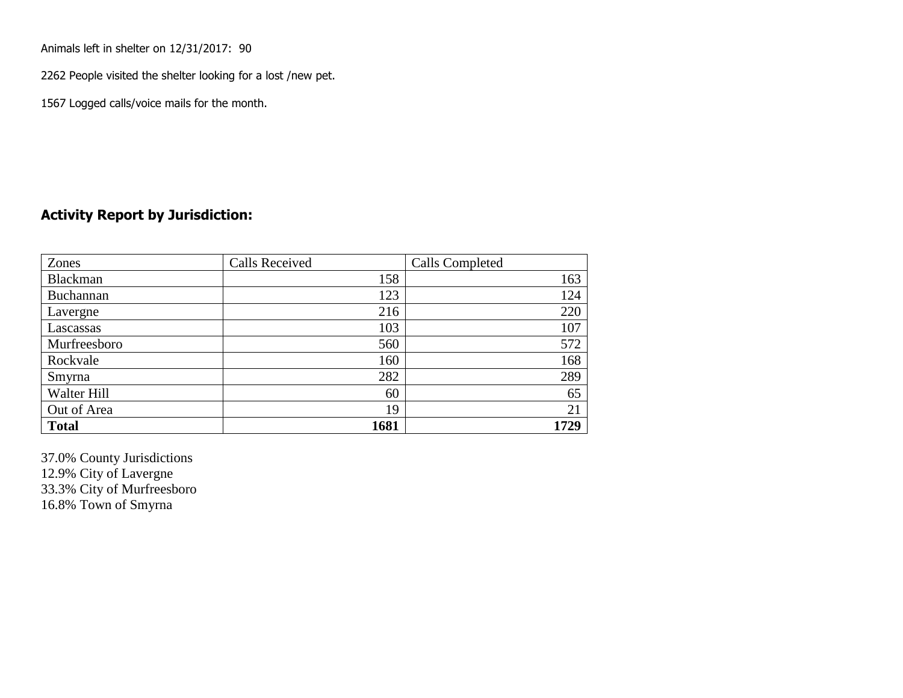Animals left in shelter on 12/31/2017: 90

2262 People visited the shelter looking for a lost /new pet.

1567 Logged calls/voice mails for the month.

### **Activity Report by Jurisdiction:**

| Zones        | <b>Calls Received</b> | Calls Completed |
|--------------|-----------------------|-----------------|
| Blackman     | 158                   | 163             |
| Buchannan    | 123                   | 124             |
| Lavergne     | 216                   | 220             |
| Lascassas    | 103                   | 107             |
| Murfreesboro | 560                   | 572             |
| Rockvale     | 160                   | 168             |
| Smyrna       | 282                   | 289             |
| Walter Hill  | 60                    | 65              |
| Out of Area  | 19                    | 21              |
| <b>Total</b> | 1681                  | 1729            |

37.0% County Jurisdictions 12.9% City of Lavergne 33.3% City of Murfreesboro 16.8% Town of Smyrna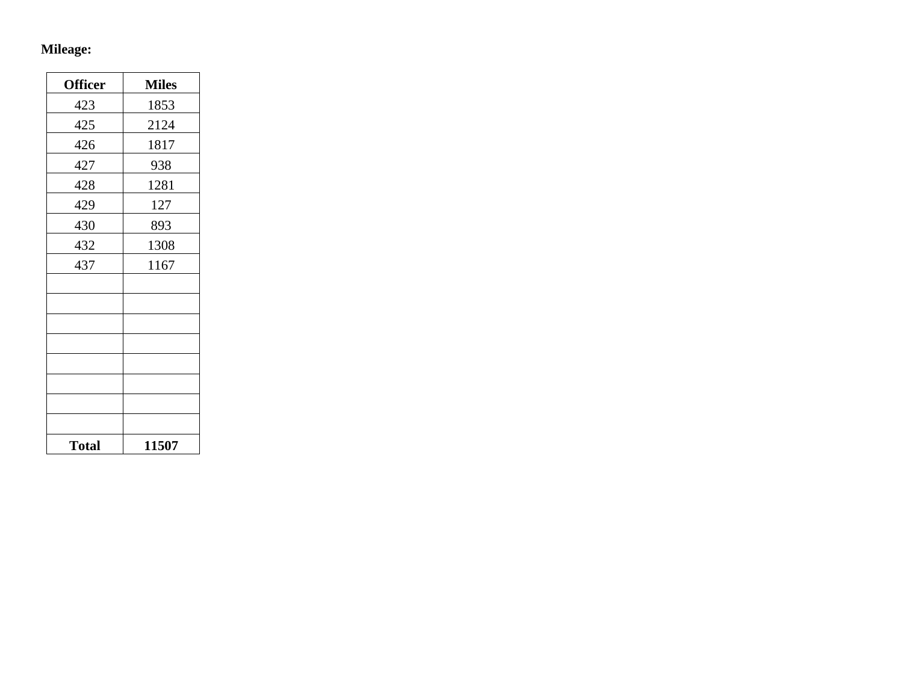## **Mileage:**

| <b>Officer</b> | <b>Miles</b> |
|----------------|--------------|
| 423            | 1853         |
| 425            | 2124         |
| 426            | 1817         |
| 427            | 938          |
| 428            | 1281         |
| 429            | 127          |
| 430            | 893          |
| 432            | 1308         |
| 437            | 1167         |
|                |              |
|                |              |
|                |              |
|                |              |
|                |              |
|                |              |
|                |              |
|                |              |
| <b>Total</b>   | 11507        |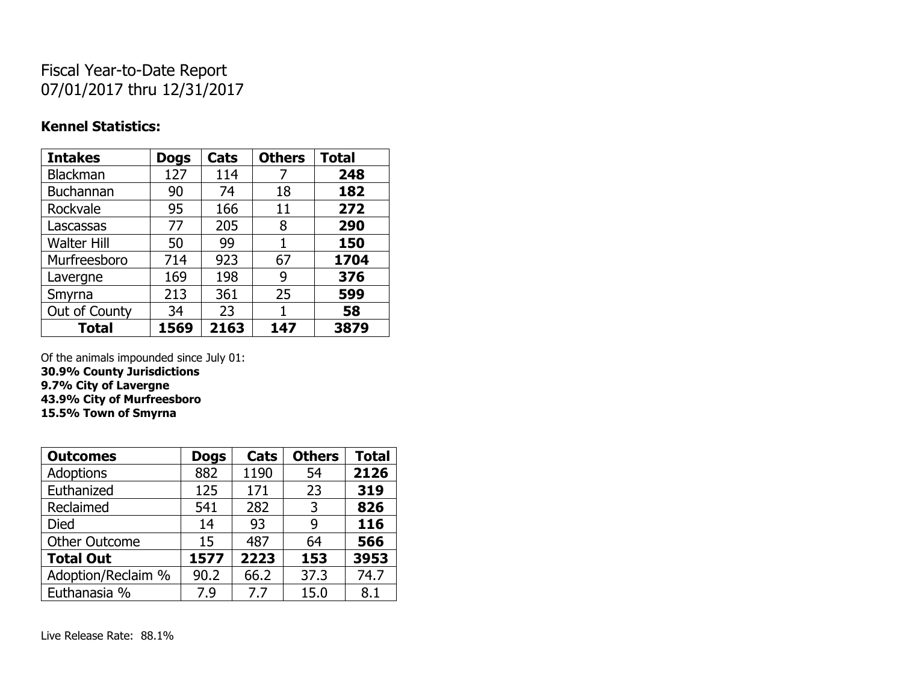# Fiscal Year-to-Date Report 07/01/2017 thru 12/31/2017

### **Kennel Statistics:**

| <b>Intakes</b>     | <b>Dogs</b> | Cats | <b>Others</b> | <b>Total</b> |
|--------------------|-------------|------|---------------|--------------|
| Blackman           | 127         | 114  | 7             | 248          |
| <b>Buchannan</b>   | 90          | 74   | 18            | 182          |
| Rockvale           | 95          | 166  | 11            | 272          |
| Lascassas          | 77          | 205  | 8             | 290          |
| <b>Walter Hill</b> | 50          | 99   | 1             | 150          |
| Murfreesboro       | 714         | 923  | 67            | 1704         |
| Lavergne           | 169         | 198  | 9             | 376          |
| Smyrna             | 213         | 361  | 25            | 599          |
| Out of County      | 34          | 23   | 1             | 58           |
| <b>Total</b>       | 1569        | 2163 | 147           | 3879         |

Of the animals impounded since July 01:

**30.9% County Jurisdictions 9.7% City of Lavergne 43.9% City of Murfreesboro**

**15.5% Town of Smyrna**

| <b>Outcomes</b>      | <b>Dogs</b> | Cats | <b>Others</b> | <b>Total</b> |
|----------------------|-------------|------|---------------|--------------|
| <b>Adoptions</b>     | 882         | 1190 | 54            | 2126         |
| Euthanized           | 125         | 171  | 23            | 319          |
| Reclaimed            | 541         | 282  | 3             | 826          |
| <b>Died</b>          | 14          | 93   | 9             | 116          |
| <b>Other Outcome</b> | 15          | 487  | 64            | 566          |
| <b>Total Out</b>     | 1577        | 2223 | 153           | 3953         |
| Adoption/Reclaim %   | 90.2        | 66.2 | 37.3          | 74.7         |
| Euthanasia %         | 7.9         | 7.7  | 15.0          | 8.1          |

Live Release Rate: 88.1%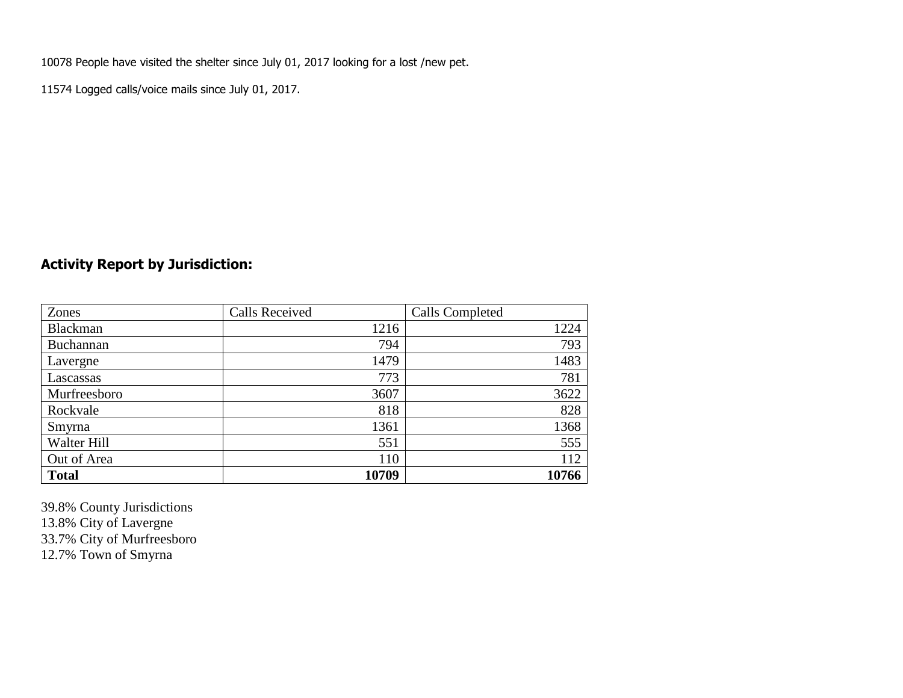10078 People have visited the shelter since July 01, 2017 looking for a lost /new pet.

11574 Logged calls/voice mails since July 01, 2017.

## **Activity Report by Jurisdiction:**

| Zones           | <b>Calls Received</b> | <b>Calls Completed</b> |
|-----------------|-----------------------|------------------------|
| <b>Blackman</b> | 1216                  | 1224                   |
| Buchannan       | 794                   | 793                    |
| Lavergne        | 1479                  | 1483                   |
| Lascassas       | 773                   | 781                    |
| Murfreesboro    | 3607                  | 3622                   |
| Rockvale        | 818                   | 828                    |
| Smyrna          | 1361                  | 1368                   |
| Walter Hill     | 551                   | 555                    |
| Out of Area     | 110                   | 112                    |
| <b>Total</b>    | 10709                 | 10766                  |

39.8% County Jurisdictions 13.8% City of Lavergne 33.7% City of Murfreesboro 12.7% Town of Smyrna